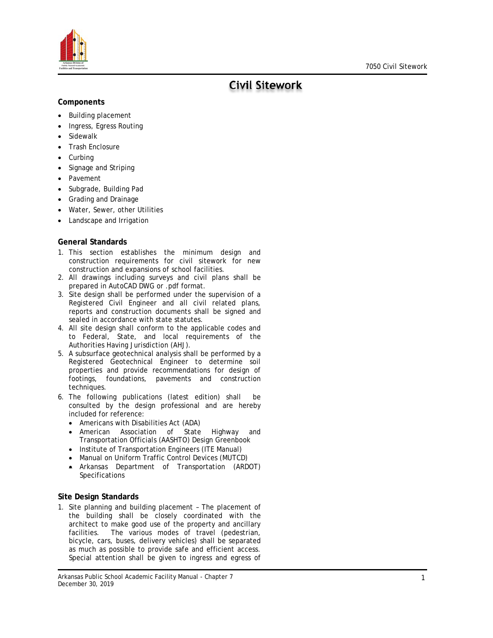

# **Civil Sitework**

# **Components**

- Building placement
- Ingress, Egress Routing
- **Sidewalk**
- Trash Enclosure
- **Curbing**
- Signage and Striping
- **Pavement**
- Subgrade, Building Pad
- Grading and Drainage
- Water, Sewer, other Utilities
- Landscape and Irrigation

# **General Standards**

- 1. This section establishes the minimum design and construction requirements for civil sitework for new construction and expansions of school facilities.
- 2. All drawings including surveys and civil plans shall be prepared in AutoCAD DWG or .pdf format.
- 3. Site design shall be performed under the supervision of a Registered Civil Engineer and all civil related plans, reports and construction documents shall be signed and sealed in accordance with state statutes.
- 4. All site design shall conform to the applicable codes and to Federal, State, and local requirements of the Authorities Having Jurisdiction (AHJ).
- 5. A subsurface geotechnical analysis shall be performed by a Registered Geotechnical Engineer to determine soil properties and provide recommendations for design of footings, foundations, pavements and construction techniques.
- 6. The following publications (latest edition) shall be consulted by the design professional and are hereby included for reference:
	- Americans with Disabilities Act (ADA)
	- American Association of State Highway and Transportation Officials (AASHTO) Design Greenbook
	- Institute of Transportation Engineers (ITE Manual)
	- Manual on Uniform Traffic Control Devices (MUTCD)
	- Arkansas Department of Transportation (ARDOT) Specifications

# **Site Design Standards**

1. Site planning and building placement – The placement of the building shall be closely coordinated with the architect to make good use of the property and ancillary facilities. The various modes of travel (pedestrian, bicycle, cars, buses, delivery vehicles) shall be separated as much as possible to provide safe and efficient access. Special attention shall be given to ingress and egress of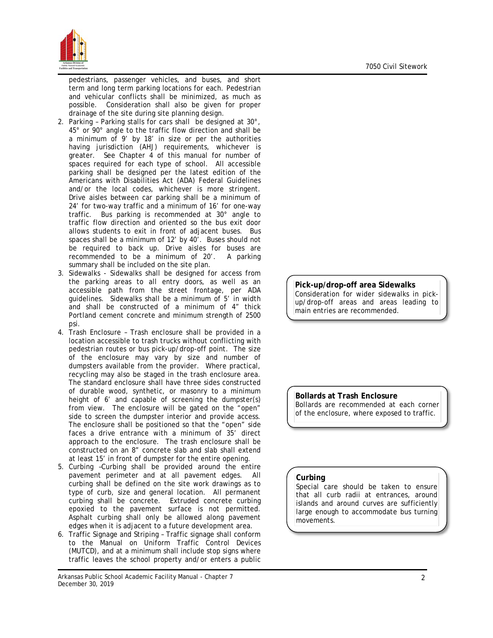

pedestrians, passenger vehicles, and buses, and short term and long term parking locations for each. Pedestrian and vehicular conflicts shall be minimized, as much as possible. Consideration shall also be given for proper drainage of the site during site planning design.

- 2. Parking Parking stalls for cars shall be designed at 30°, 45° or 90° angle to the traffic flow direction and shall be a minimum of 9' by 18' in size or per the authorities having jurisdiction (AHJ) requirements, whichever is greater. See Chapter 4 of this manual for number of spaces required for each type of school. All accessible parking shall be designed per the latest edition of the Americans with Disabilities Act (ADA) Federal Guidelines and/or the local codes, whichever is more stringent. Drive aisles between car parking shall be a minimum of 24' for two-way traffic and a minimum of 16' for one-way traffic. Bus parking is recommended at 30° angle to traffic flow direction and oriented so the bus exit door allows students to exit in front of adjacent buses. Bus spaces shall be a minimum of 12' by 40'. Buses should not be required to back up. Drive aisles for buses are recommended to be a minimum of 20'. A parking summary shall be included on the site plan.
- 3. Sidewalks Sidewalks shall be designed for access from the parking areas to all entry doors, as well as an accessible path from the street frontage, per ADA guidelines. Sidewalks shall be a minimum of 5' in width and shall be constructed of a minimum of 4" thick Portland cement concrete and minimum strength of 2500 psi.
- 4. Trash Enclosure Trash enclosure shall be provided in a location accessible to trash trucks without conflicting with pedestrian routes or bus pick-up/drop-off point. The size of the enclosure may vary by size and number of dumpsters available from the provider. Where practical, recycling may also be staged in the trash enclosure area. The standard enclosure shall have three sides constructed of durable wood, synthetic, or masonry to a minimum height of 6' and capable of screening the dumpster(s) from view. The enclosure will be gated on the "open" side to screen the dumpster interior and provide access. The enclosure shall be positioned so that the "open" side faces a drive entrance with a minimum of 35' direct approach to the enclosure. The trash enclosure shall be constructed on an 8" concrete slab and slab shall extend at least 15' in front of dumpster for the entire opening.
- 5. Curbing –Curbing shall be provided around the entire pavement perimeter and at all pavement edges. All curbing shall be defined on the site work drawings as to type of curb, size and general location. All permanent curbing shall be concrete. Extruded concrete curbing epoxied to the pavement surface is not permitted. Asphalt curbing shall only be allowed along pavement edges when it is adjacent to a future development area.
- 6. Traffic Signage and Striping Traffic signage shall conform to the Manual on Uniform Traffic Control Devices (MUTCD), and at a minimum shall include stop signs where traffic leaves the school property and/or enters a public

# **Pick-up/drop-off area Sidewalks**

Consideration for wider sidewalks in pickup/drop-off areas and areas leading to main entries are recommended.

**Bollards at Trash Enclosure** Bollards are recommended at each corner of the enclosure, where exposed to traffic.

#### **Curbing**

Special care should be taken to ensure that all curb radii at entrances, around islands and around curves are sufficiently large enough to accommodate bus turning movements.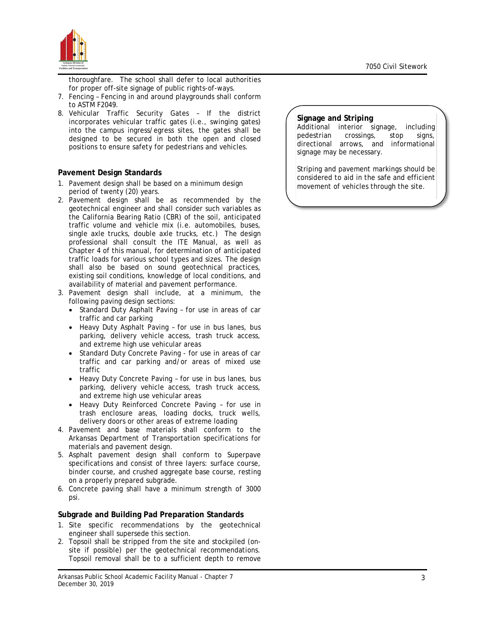

thoroughfare. The school shall defer to local authorities for proper off-site signage of public rights-of-ways.

- 7. Fencing Fencing in and around playgrounds shall conform to ASTM F2049.
- 8. Vehicular Traffic Security Gates If the district incorporates vehicular traffic gates (i.e., swinging gates) into the campus ingress/egress sites, the gates shall be designed to be secured in both the open and closed positions to ensure safety for pedestrians and vehicles.

## **Pavement Design Standards**

- 1. Pavement design shall be based on a minimum design period of twenty (20) years.
- 2. Pavement design shall be as recommended by the geotechnical engineer and shall consider such variables as the California Bearing Ratio (CBR) of the soil, anticipated traffic volume and vehicle mix (i.e. automobiles, buses, single axle trucks, double axle trucks, etc.) The design professional shall consult the ITE Manual, as well as Chapter 4 of this manual, for determination of anticipated traffic loads for various school types and sizes. The design shall also be based on sound geotechnical practices, existing soil conditions, knowledge of local conditions, and availability of material and pavement performance.
- 3. Pavement design shall include, at a minimum, the following paving design sections:
	- Standard Duty Asphalt Paving for use in areas of car traffic and car parking
	- Heavy Duty Asphalt Paving for use in bus lanes, bus parking, delivery vehicle access, trash truck access, and extreme high use vehicular areas
	- Standard Duty Concrete Paving for use in areas of car traffic and car parking and/or areas of mixed use traffic
	- Heavy Duty Concrete Paving for use in bus lanes, bus parking, delivery vehicle access, trash truck access, and extreme high use vehicular areas
	- Heavy Duty Reinforced Concrete Paving for use in trash enclosure areas, loading docks, truck wells, delivery doors or other areas of extreme loading
- 4. Pavement and base materials shall conform to the Arkansas Department of Transportation specifications for materials and pavement design.
- 5. Asphalt pavement design shall conform to Superpave specifications and consist of three layers: surface course, binder course, and crushed aggregate base course, resting on a properly prepared subgrade.
- 6. Concrete paving shall have a minimum strength of 3000 psi.

#### **Subgrade and Building Pad Preparation Standards**

- 1. Site specific recommendations by the geotechnical engineer shall supersede this section.
- 2. Topsoil shall be stripped from the site and stockpiled (onsite if possible) per the geotechnical recommendations. Topsoil removal shall be to a sufficient depth to remove

#### **Signage and Striping**

Additional interior signage, including pedestrian crossings, stop signs, directional arrows, and informational signage may be necessary.

Striping and pavement markings should be considered to aid in the safe and efficient movement of vehicles through the site.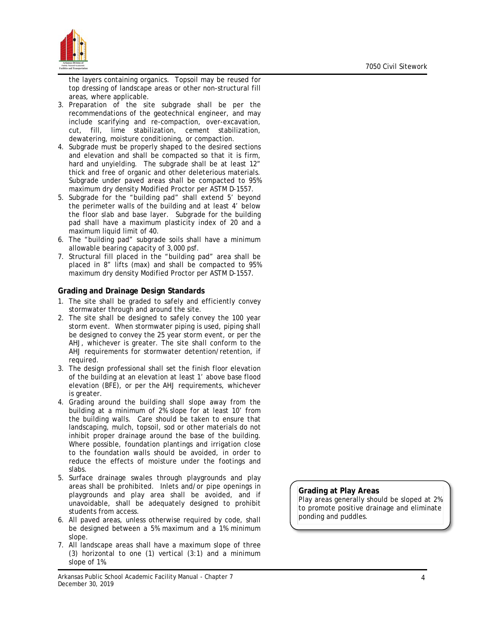

the layers containing organics. Topsoil may be reused for top dressing of landscape areas or other non-structural fill areas, where applicable.

- 3. Preparation of the site subgrade shall be per the recommendations of the geotechnical engineer, and may include scarifying and re-compaction, over-excavation, cut, fill, lime stabilization, cement stabilization, dewatering, moisture conditioning, or compaction.
- 4. Subgrade must be properly shaped to the desired sections and elevation and shall be compacted so that it is firm, hard and unyielding. The subgrade shall be at least 12" thick and free of organic and other deleterious materials. Subgrade under paved areas shall be compacted to 95% maximum dry density Modified Proctor per ASTM D-1557.
- 5. Subgrade for the "building pad" shall extend 5' beyond the perimeter walls of the building and at least 4' below the floor slab and base layer. Subgrade for the building pad shall have a maximum plasticity index of 20 and a maximum liquid limit of 40.
- 6. The "building pad" subgrade soils shall have a minimum allowable bearing capacity of 3,000 psf.
- 7. Structural fill placed in the "building pad" area shall be placed in 8" lifts (max) and shall be compacted to 95% maximum dry density Modified Proctor per ASTM D-1557.

## **Grading and Drainage Design Standards**

- 1. The site shall be graded to safely and efficiently convey stormwater through and around the site.
- 2. The site shall be designed to safely convey the 100 year storm event. When stormwater piping is used, piping shall be designed to convey the 25 year storm event, or per the AHJ, whichever is greater. The site shall conform to the AHJ requirements for stormwater detention/retention, if required.
- 3. The design professional shall set the finish floor elevation of the building at an elevation at least 1' above base flood elevation (BFE), or per the AHJ requirements, whichever is greater.
- 4. Grading around the building shall slope away from the building at a minimum of 2% slope for at least 10' from the building walls. Care should be taken to ensure that landscaping, mulch, topsoil, sod or other materials do not inhibit proper drainage around the base of the building. Where possible, foundation plantings and irrigation close to the foundation walls should be avoided, in order to reduce the effects of moisture under the footings and slabs.
- 5. Surface drainage swales through playgrounds and play areas shall be prohibited. Inlets and/or pipe openings in playgrounds and play area shall be avoided, and if unavoidable, shall be adequately designed to prohibit students from access.
- 6. All paved areas, unless otherwise required by code, shall be designed between a 5% maximum and a 1% minimum slope.
- 7. All landscape areas shall have a maximum slope of three (3) horizontal to one  $(1)$  vertical  $(3:1)$  and a minimum slope of 1%.

## **Grading at Play Areas**

Play areas generally should be sloped at 2% to promote positive drainage and eliminate ponding and puddles.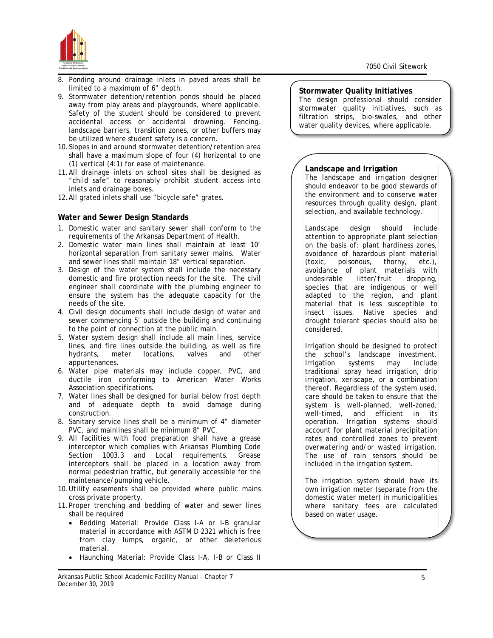

- 8. Ponding around drainage inlets in paved areas shall be limited to a maximum of 6" depth.
- 9. Stormwater detention/retention ponds should be placed away from play areas and playgrounds, where applicable. Safety of the student should be considered to prevent accidental access or accidental drowning. Fencing, landscape barriers, transition zones, or other buffers may be utilized where student safety is a concern.
- 10.Slopes in and around stormwater detention/retention area shall have a maximum slope of four (4) horizontal to one (1) vertical (4:1) for ease of maintenance.
- 11.All drainage inlets on school sites shall be designed as "child safe" to reasonably prohibit student access into inlets and drainage boxes.
- 12.All grated inlets shall use "bicycle safe" grates.

# **Water and Sewer Design Standards**

- 1. Domestic water and sanitary sewer shall conform to the requirements of the Arkansas Department of Health.
- 2. Domestic water main lines shall maintain at least 10' horizontal separation from sanitary sewer mains. Water and sewer lines shall maintain 18" vertical separation.
- 3. Design of the water system shall include the necessary domestic and fire protection needs for the site. The civil engineer shall coordinate with the plumbing engineer to ensure the system has the adequate capacity for the needs of the site.
- 4. Civil design documents shall include design of water and sewer commencing 5' outside the building and continuing to the point of connection at the public main.
- 5. Water system design shall include all main lines, service lines, and fire lines outside the building, as well as fire hydrants, meter locations, valves and other appurtenances.
- 6. Water pipe materials may include copper, PVC, and ductile iron conforming to American Water Works Association specifications.
- 7. Water lines shall be designed for burial below frost depth and of adequate depth to avoid damage during construction.
- 8. Sanitary service lines shall be a minimum of 4" diameter PVC, and mainlines shall be minimum 8" PVC.
- 9. All facilities with food preparation shall have a grease interceptor which complies with Arkansas Plumbing Code Section 1003.3 and Local requirements. Grease interceptors shall be placed in a location away from normal pedestrian traffic, but generally accessible for the maintenance/pumping vehicle.
- 10.Utility easements shall be provided where public mains cross private property.
- 11.Proper trenching and bedding of water and sewer lines shall be required
	- Bedding Material: Provide Class I-A or I-B granular material in accordance with ASTM D 2321 which is free from clay lumps, organic, or other deleterious material.
	- Haunching Material: Provide Class I-A, I-B or Class II

#### Arkansas Public School Academic Facility Manual - Chapter 7 December 30, 2019

## **Stormwater Quality Initiatives**

The design professional should consider stormwater quality initiatives, such as filtration strips, bio-swales, and other water quality devices, where applicable.

# **Landscape and Irrigation**

The landscape and irrigation designer should endeavor to be good stewards of the environment and to conserve water resources through quality design, plant selection, and available technology.

Landscape design should include attention to appropriate plant selection on the basis of: plant hardiness zones, avoidance of hazardous plant material (toxic, poisonous, thorny, etc.), avoidance of plant materials with undesirable litter/fruit dropping, species that are indigenous or well adapted to the region, and plant material that is less susceptible to insect issues. Native species and drought tolerant species should also be considered.

Irrigation should be designed to protect the school's landscape investment. Irrigation systems may include traditional spray head irrigation, drip irrigation, xeriscape, or a combination thereof. Regardless of the system used, care should be taken to ensure that the system is well-planned, well-zoned, well-timed, and efficient in its operation. Irrigation systems should account for plant material precipitation rates and controlled zones to prevent overwatering and/or wasted irrigation. The use of rain sensors should be included in the irrigation system.

The irrigation system should have its own irrigation meter (separate from the domestic water meter) in municipalities where sanitary fees are calculated based on water usage.